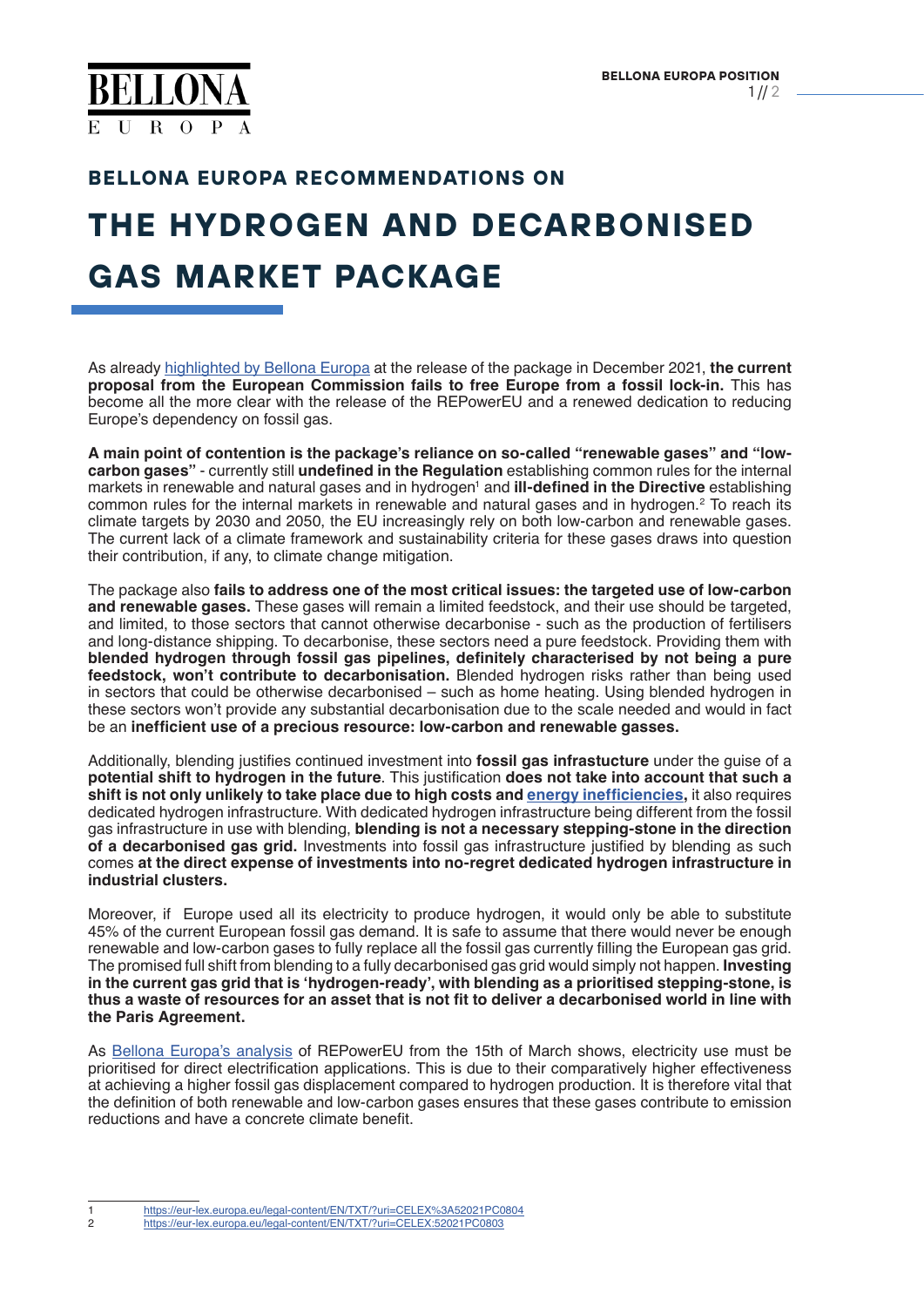

### **BELLONA EUROPA RECOMMENDATIONS ON**

# **THE HYDROGEN AND DECARBONISED GAS MARKET PACKAGE**

As already [highlighted by Bellona Europa](https://bellona.org/news/ccs/2021-12-fit-for-2030-series%E2%80%AFframework-to-decarbonise-gas-markets-fails-the-litmus-test-of-fossil-gas-rapid-phase-out-and-key-role-of-co2-infrastructure-networks%E2%80%AF) at the release of the package in December 2021, **the current proposal from the European Commission fails to free Europe from a fossil lock-in.** This has become all the more clear with the release of the REPowerEU and a renewed dedication to reducing Europe's dependency on fossil gas.

**A main point of contention is the package's reliance on so-called "renewable gases" and "lowcarbon gases"** - currently still **undefined in the Regulation** establishing common rules for the internal markets in renewable and natural gases and in hydrogen<sup>1</sup> and **ill-defined in the Directive** establishing common rules for the internal markets in renewable and natural gases and in hydrogen. $^2$  To reach its climate targets by 2030 and 2050, the EU increasingly rely on both low-carbon and renewable gases. The current lack of a climate framework and sustainability criteria for these gases draws into question their contribution, if any, to climate change mitigation.

The package also **fails to address one of the most critical issues: the targeted use of low-carbon and renewable gases.** These gases will remain a limited feedstock, and their use should be targeted, and limited, to those sectors that cannot otherwise decarbonise - such as the production of fertilisers and long-distance shipping. To decarbonise, these sectors need a pure feedstock. Providing them with **blended hydrogen through fossil gas pipelines, definitely characterised by not being a pure feedstock, won't contribute to decarbonisation.** Blended hydrogen risks rather than being used in sectors that could be otherwise decarbonised – such as home heating. Using blended hydrogen in these sectors won't provide any substantial decarbonisation due to the scale needed and would in fact be an **inefficient use of a precious resource: low-carbon and renewable gasses.**

Additionally, blending justifies continued investment into **fossil gas infrastucture** under the guise of a **potential shift to hydrogen in the future**. This justification **does not take into account that such a shift is not only unlikely to take place due to high costs and [energy inefficiencies](https://bellona.org/news/renewable-energy/2022-01-leaked-taxonomy-proposal-fossil-gas-sustainable-label-relies-on-promises-in-bad-faith-still-risks-wasting-all-our-renewable-energy),** it also requires dedicated hydrogen infrastructure. With dedicated hydrogen infrastructure being different from the fossil gas infrastructure in use with blending, **blending is not a necessary stepping-stone in the direction of a decarbonised gas grid.** Investments into fossil gas infrastructure justified by blending as such comes **at the direct expense of investments into no-regret dedicated hydrogen infrastructure in industrial clusters.** 

Moreover, if Europe used all its electricity to produce hydrogen, it would only be able to substitute 45% of the current European fossil gas demand. It is safe to assume that there would never be enough renewable and low-carbon gases to fully replace all the fossil gas currently filling the European gas grid. The promised full shift from blending to a fully decarbonised gas grid would simply not happen. **Investing in the current gas grid that is 'hydrogen-ready', with blending as a prioritised stepping-stone, is thus a waste of resources for an asset that is not fit to deliver a decarbonised world in line with the Paris Agreement.**

As [Bellona Europa's analysis](https://bellona.org/news/fossil-fuels/gas/2022-03-using-repowereu-at-its-full-potential-the-role-of-hydrogen-and-direct-electrification-in-displacing-fossil-gas-demand) of REPowerEU from the 15th of March shows, electricity use must be prioritised for direct electrification applications. This is due to their comparatively higher effectiveness at achieving a higher fossil gas displacement compared to hydrogen production. It is therefore vital that the definition of both renewable and low-carbon gases ensures that these gases contribute to emission reductions and have a concrete climate benefit.

<sup>1</sup> <https://eur-lex.europa.eu/legal-content/EN/TXT/?uri=CELEX%3A52021PC0804><br>2 https://eur-lex.europa.eu/legal-content/EN/TXT/?uri=CELEX:52021PC0803

<sup>2</sup> <https://eur-lex.europa.eu/legal-content/EN/TXT/?uri=CELEX:52021PC0803>